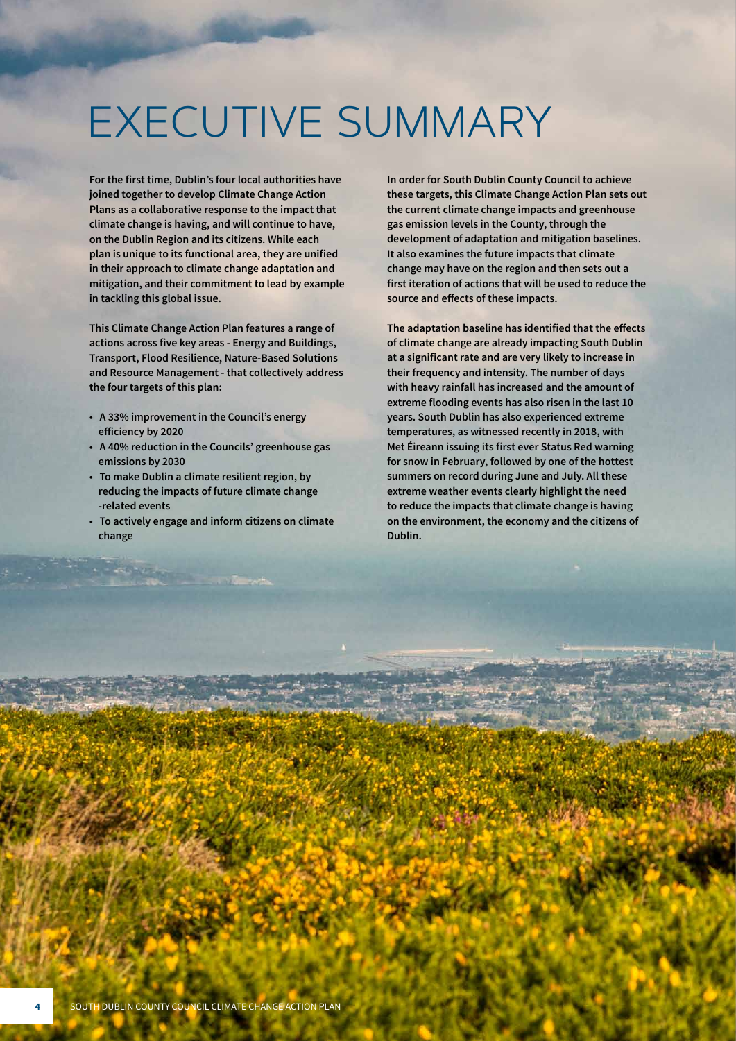# EXECUTIVE SUMMARY

**For the first time, Dublin's four local authorities have joined together to develop Climate Change Action Plans as a collaborative response to the impact that climate change is having, and will continue to have, on the Dublin Region and its citizens. While each plan is unique to its functional area, they are unified in their approach to climate change adaptation and mitigation, and their commitment to lead by example in tackling this global issue.**

**This Climate Change Action Plan features a range of actions across five key areas - Energy and Buildings, Transport, Flood Resilience, Nature-Based Solutions and Resource Management - that collectively address the four targets of this plan:**

- **• A 33% improvement in the Council's energy efficiency by 2020**
- **• A 40% reduction in the Councils' greenhouse gas emissions by 2030**
- **• To make Dublin a climate resilient region, by reducing the impacts of future climate change -related events**
- **• To actively engage and inform citizens on climate change**

**In order for South Dublin County Council to achieve these targets, this Climate Change Action Plan sets out the current climate change impacts and greenhouse gas emission levels in the County, through the development of adaptation and mitigation baselines. It also examines the future impacts that climate change may have on the region and then sets out a first iteration of actions that will be used to reduce the source and effects of these impacts.**

**The adaptation baseline has identified that the effects of climate change are already impacting South Dublin at a significant rate and are very likely to increase in their frequency and intensity. The number of days with heavy rainfall has increased and the amount of extreme flooding events has also risen in the last 10 years. South Dublin has also experienced extreme temperatures, as witnessed recently in 2018, with Met Éireann issuing its first ever Status Red warning for snow in February, followed by one of the hottest summers on record during June and July. All these extreme weather events clearly highlight the need to reduce the impacts that climate change is having on the environment, the economy and the citizens of Dublin.**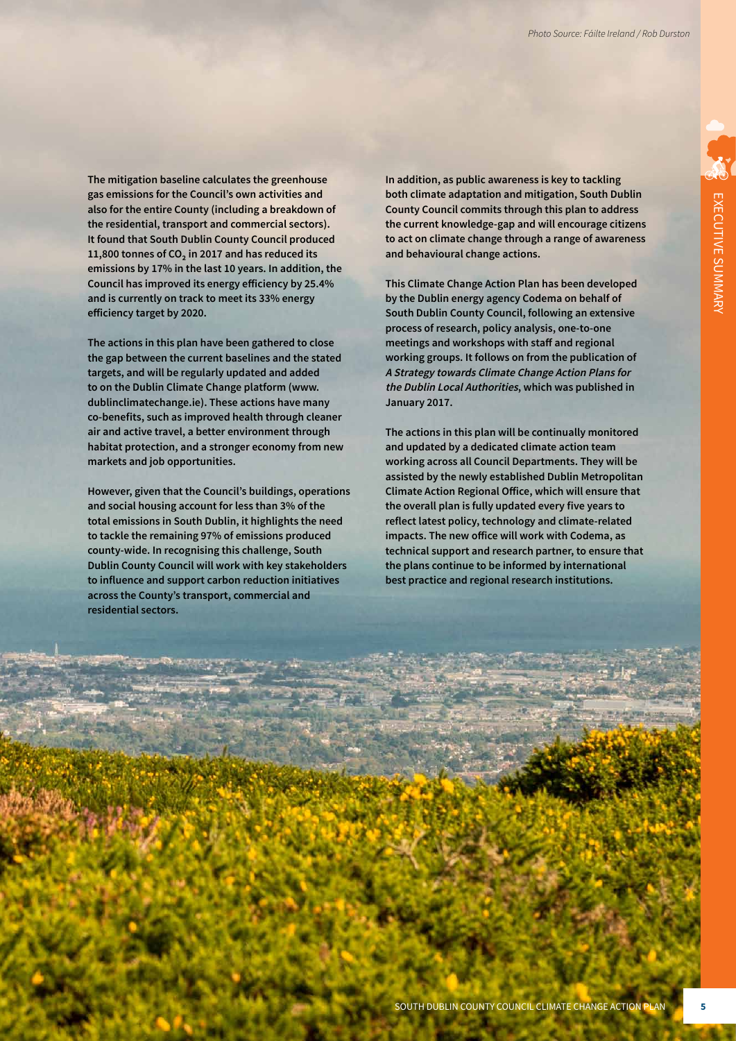**The mitigation baseline calculates the greenhouse gas emissions for the Council's own activities and also for the entire County (including a breakdown of the residential, transport and commercial sectors). It found that South Dublin County Council produced 11,800 tonnes of CO₂ in 2017 and has reduced its emissions by 17% in the last 10 years. In addition, the Council has improved its energy efficiency by 25.4% and is currently on track to meet its 33% energy efficiency target by 2020.** 

**The actions in this plan have been gathered to close the gap between the current baselines and the stated targets, and will be regularly updated and added to on the Dublin Climate Change platform (www. dublinclimatechange.ie). These actions have many co-benefits, such as improved health through cleaner air and active travel, a better environment through habitat protection, and a stronger economy from new markets and job opportunities.** 

**However, given that the Council's buildings, operations and social housing account for less than 3% of the total emissions in South Dublin, it highlights the need to tackle the remaining 97% of emissions produced county-wide. In recognising this challenge, South Dublin County Council will work with key stakeholders to influence and support carbon reduction initiatives across the County's transport, commercial and residential sectors.**

**In addition, as public awareness is key to tackling both climate adaptation and mitigation, South Dublin County Council commits through this plan to address the current knowledge-gap and will encourage citizens to act on climate change through a range of awareness and behavioural change actions.**

**This Climate Change Action Plan has been developed by the Dublin energy agency Codema on behalf of South Dublin County Council, following an extensive process of research, policy analysis, one-to-one meetings and workshops with staff and regional working groups. It follows on from the publication of A Strategy towards Climate Change Action Plans for the Dublin Local Authorities, which was published in January 2017.**

**The actions in this plan will be continually monitored and updated by a dedicated climate action team working across all Council Departments. They will be assisted by the newly established Dublin Metropolitan Climate Action Regional Office, which will ensure that the overall plan is fully updated every five years to reflect latest policy, technology and climate-related impacts. The new office will work with Codema, as technical support and research partner, to ensure that the plans continue to be informed by international best practice and regional research institutions.**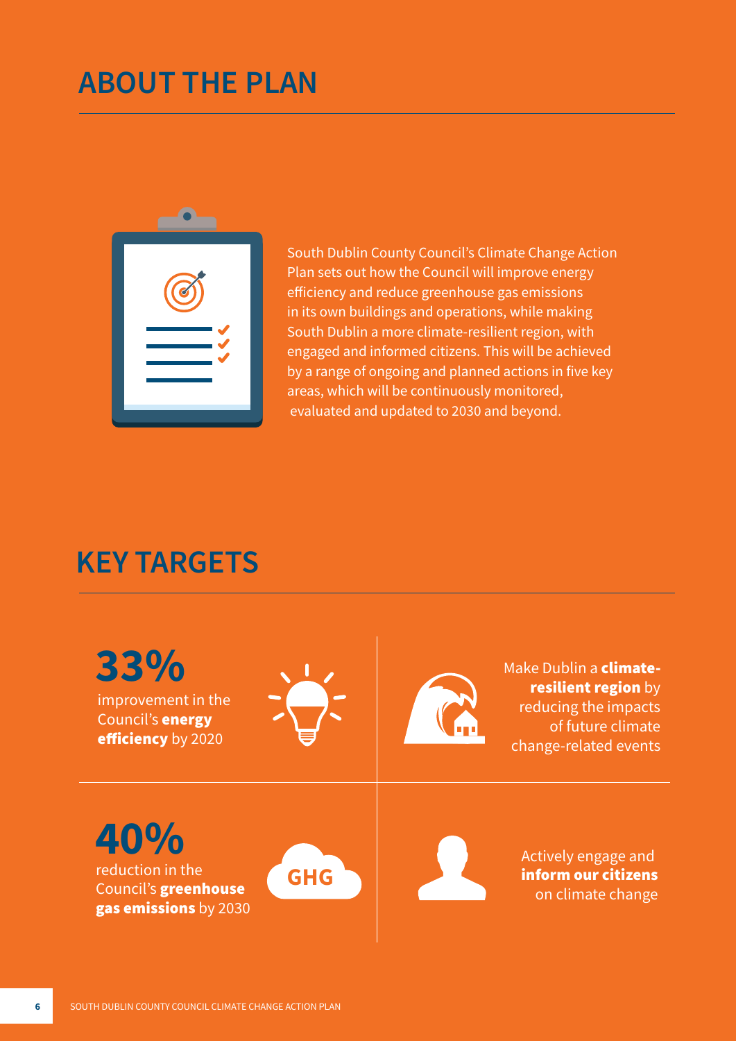### **ABOUT THE PLAN**



South Dublin County Council's Climate Change Action Plan sets out how the Council will improve energy efficiency and reduce greenhouse gas emissions in its own buildings and operations, while making South Dublin a more climate-resilient region, with engaged and informed citizens. This will be achieved by a range of ongoing and planned actions in five key areas, which will be continuously monitored, evaluated and updated to 2030 and beyond.

#### **KEY TARGETS**